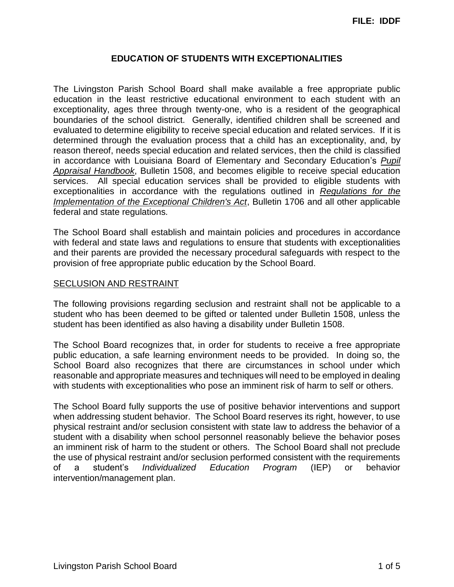# **EDUCATION OF STUDENTS WITH EXCEPTIONALITIES**

The Livingston Parish School Board shall make available a free appropriate public education in the least restrictive educational environment to each student with an exceptionality, ages three through twenty-one, who is a resident of the geographical boundaries of the school district. Generally, identified children shall be screened and evaluated to determine eligibility to receive special education and related services. If it is determined through the evaluation process that a child has an exceptionality, and, by reason thereof, needs special education and related services, then the child is classified in accordance with Louisiana Board of Elementary and Secondary Education's *Pupil Appraisal Handbook*, Bulletin 1508, and becomes eligible to receive special education services. All special education services shall be provided to eligible students with exceptionalities in accordance with the regulations outlined in *Regulations for the Implementation of the Exceptional Children's Act*, Bulletin 1706 and all other applicable federal and state regulations*.*

The School Board shall establish and maintain policies and procedures in accordance with federal and state laws and regulations to ensure that students with exceptionalities and their parents are provided the necessary procedural safeguards with respect to the provision of free appropriate public education by the School Board.

### SECLUSION AND RESTRAINT

The following provisions regarding seclusion and restraint shall not be applicable to a student who has been deemed to be gifted or talented under Bulletin 1508, unless the student has been identified as also having a disability under Bulletin 1508.

The School Board recognizes that, in order for students to receive a free appropriate public education, a safe learning environment needs to be provided. In doing so, the School Board also recognizes that there are circumstances in school under which reasonable and appropriate measures and techniques will need to be employed in dealing with students with exceptionalities who pose an imminent risk of harm to self or others.

The School Board fully supports the use of positive behavior interventions and support when addressing student behavior. The School Board reserves its right, however, to use physical restraint and/or seclusion consistent with state law to address the behavior of a student with a disability when school personnel reasonably believe the behavior poses an imminent risk of harm to the student or others. The School Board shall not preclude the use of physical restraint and/or seclusion performed consistent with the requirements of a student's *Individualized Education Program* (IEP) or behavior intervention/management plan.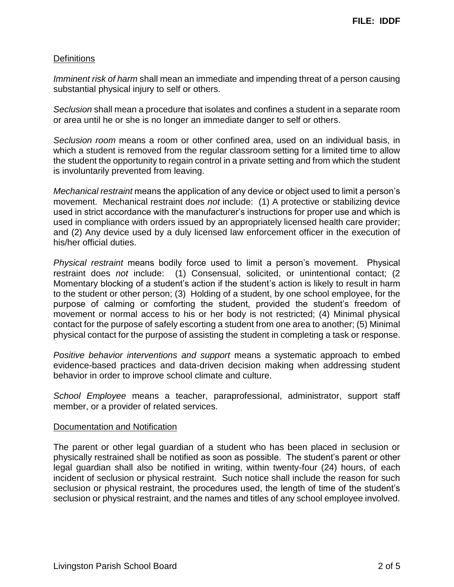## **Definitions**

*Imminent risk of harm* shall mean an immediate and impending threat of a person causing substantial physical injury to self or others.

*Seclusion* shall mean a procedure that isolates and confines a student in a separate room or area until he or she is no longer an immediate danger to self or others.

*Seclusion room* means a room or other confined area, used on an individual basis, in which a student is removed from the regular classroom setting for a limited time to allow the student the opportunity to regain control in a private setting and from which the student is involuntarily prevented from leaving.

*Mechanical restraint* means the application of any device or object used to limit a person's movement. Mechanical restraint does *not* include: (1) A protective or stabilizing device used in strict accordance with the manufacturer's instructions for proper use and which is used in compliance with orders issued by an appropriately licensed health care provider; and (2) Any device used by a duly licensed law enforcement officer in the execution of his/her official duties.

*Physical restraint* means bodily force used to limit a person's movement. Physical restraint does *not* include: (1) Consensual, solicited, or unintentional contact; (2 Momentary blocking of a student's action if the student's action is likely to result in harm to the student or other person; (3) Holding of a student, by one school employee, for the purpose of calming or comforting the student, provided the student's freedom of movement or normal access to his or her body is not restricted; (4) Minimal physical contact for the purpose of safely escorting a student from one area to another; (5) Minimal physical contact for the purpose of assisting the student in completing a task or response.

*Positive behavior interventions and support* means a systematic approach to embed evidence-based practices and data-driven decision making when addressing student behavior in order to improve school climate and culture.

*School Employee* means a teacher, paraprofessional, administrator, support staff member, or a provider of related services.

#### Documentation and Notification

The parent or other legal guardian of a student who has been placed in seclusion or physically restrained shall be notified as soon as possible. The student's parent or other legal guardian shall also be notified in writing, within twenty-four (24) hours, of each incident of seclusion or physical restraint. Such notice shall include the reason for such seclusion or physical restraint, the procedures used, the length of time of the student's seclusion or physical restraint, and the names and titles of any school employee involved.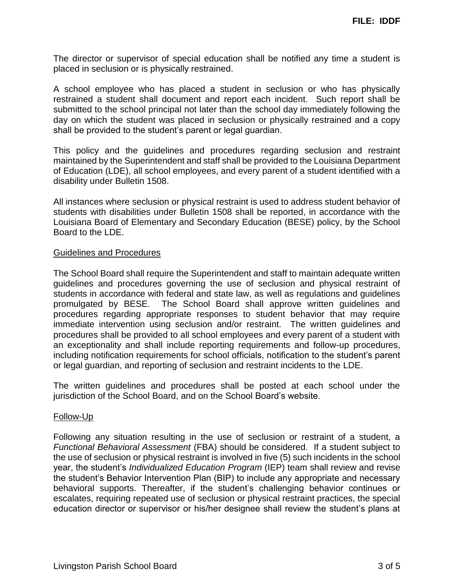The director or supervisor of special education shall be notified any time a student is placed in seclusion or is physically restrained.

A school employee who has placed a student in seclusion or who has physically restrained a student shall document and report each incident. Such report shall be submitted to the school principal not later than the school day immediately following the day on which the student was placed in seclusion or physically restrained and a copy shall be provided to the student's parent or legal guardian.

This policy and the guidelines and procedures regarding seclusion and restraint maintained by the Superintendent and staff shall be provided to the Louisiana Department of Education (LDE), all school employees, and every parent of a student identified with a disability under Bulletin 1508.

All instances where seclusion or physical restraint is used to address student behavior of students with disabilities under Bulletin 1508 shall be reported, in accordance with the Louisiana Board of Elementary and Secondary Education (BESE) policy, by the School Board to the LDE.

#### Guidelines and Procedures

The School Board shall require the Superintendent and staff to maintain adequate written guidelines and procedures governing the use of seclusion and physical restraint of students in accordance with federal and state law, as well as regulations and guidelines promulgated by BESE. The School Board shall approve written guidelines and procedures regarding appropriate responses to student behavior that may require immediate intervention using seclusion and/or restraint. The written guidelines and procedures shall be provided to all school employees and every parent of a student with an exceptionality and shall include reporting requirements and follow-up procedures, including notification requirements for school officials, notification to the student's parent or legal guardian, and reporting of seclusion and restraint incidents to the LDE.

The written guidelines and procedures shall be posted at each school under the jurisdiction of the School Board, and on the School Board's website.

#### Follow-Up

Following any situation resulting in the use of seclusion or restraint of a student, a *Functional Behavioral Assessment* (FBA) should be considered. If a student subject to the use of seclusion or physical restraint is involved in five (5) such incidents in the school year, the student's *Individualized Education Program* (IEP) team shall review and revise the student's Behavior Intervention Plan (BIP) to include any appropriate and necessary behavioral supports. Thereafter, if the student's challenging behavior continues or escalates, requiring repeated use of seclusion or physical restraint practices, the special education director or supervisor or his/her designee shall review the student's plans at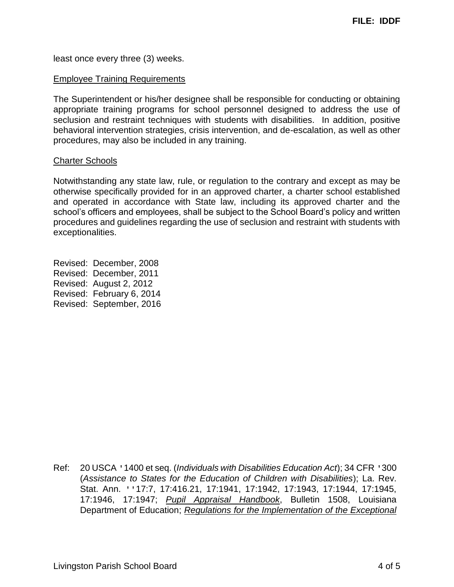least once every three (3) weeks.

#### Employee Training Requirements

The Superintendent or his/her designee shall be responsible for conducting or obtaining appropriate training programs for school personnel designed to address the use of seclusion and restraint techniques with students with disabilities. In addition, positive behavioral intervention strategies, crisis intervention, and de-escalation, as well as other procedures, may also be included in any training.

#### Charter Schools

Notwithstanding any state law, rule, or regulation to the contrary and except as may be otherwise specifically provided for in an approved charter, a charter school established and operated in accordance with State law, including its approved charter and the school's officers and employees, shall be subject to the School Board's policy and written procedures and guidelines regarding the use of seclusion and restraint with students with exceptionalities.

Revised: December, 2008 Revised: December, 2011 Revised: August 2, 2012 Revised: February 6, 2014 Revised: September, 2016

Ref: 20 USCA '1400 et seq. (*Individuals with Disabilities Education Act*); 34 CFR '300 (*Assistance to States for the Education of Children with Disabilities*); La. Rev. Stat. Ann. ''17:7, 17:416.21, 17:1941, 17:1942, 17:1943, 17:1944, 17:1945, 17:1946, 17:1947; *Pupil Appraisal Handbook*, Bulletin 1508, Louisiana Department of Education; *Regulations for the Implementation of the Exceptional*